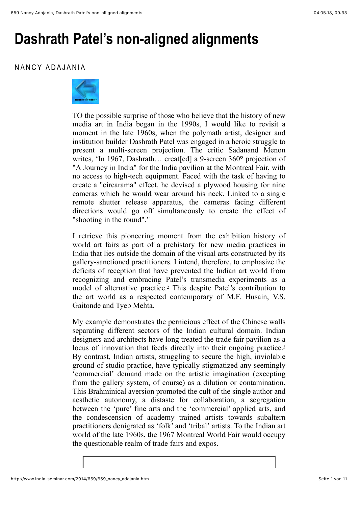## **Dashrath Patel's non-aligned alignments**

## NANCY ADAJANIA



TO the possible surprise of those who believe that the history of new media art in India began in the 1990s, I would like to revisit a moment in the late 1960s, when the polymath artist, designer and institution builder Dashrath Patel was engaged in a heroic struggle to present a multi-screen projection. The critic Sadanand Menon writes, 'In 1967, Dashrath… creat[ed] a 9-screen 360**°** projection of "A Journey in India" for the India pavilion at the Montreal Fair, with no access to high-tech equipment. Faced with the task of having to create a "circarama" effect, he devised a plywood housing for nine cameras which he would wear around his neck. Linked to a single remote shutter release apparatus, the cameras facing different directions would go off simultaneously to create the effect of "shooting in the round".'1

I retrieve this pioneering moment from the exhibition history of world art fairs as part of a prehistory for new media practices in India that lies outside the domain of the visual arts constructed by its gallery-sanctioned practitioners. I intend, therefore, to emphasize the deficits of reception that have prevented the Indian art world from recognizing and embracing Patel's transmedia experiments as a model of alternative practice.2 This despite Patel's contribution to the art world as a respected contemporary of M.F. Husain, V.S. Gaitonde and Tyeb Mehta.

My example demonstrates the pernicious effect of the Chinese walls separating different sectors of the Indian cultural domain. Indian designers and architects have long treated the trade fair pavilion as a locus of innovation that feeds directly into their ongoing practice.<sup>3</sup> By contrast, Indian artists, struggling to secure the high, inviolable ground of studio practice, have typically stigmatized any seemingly 'commercial' demand made on the artistic imagination (excepting from the gallery system, of course) as a dilution or contamination. This Brahminical aversion promoted the cult of the single author and aesthetic autonomy, a distaste for collaboration, a segregation between the 'pure' fine arts and the 'commercial' applied arts, and the condescension of academy trained artists towards subaltern practitioners denigrated as 'folk' and 'tribal' artists. To the Indian art world of the late 1960s, the 1967 Montreal World Fair would occupy the questionable realm of trade fairs and expos.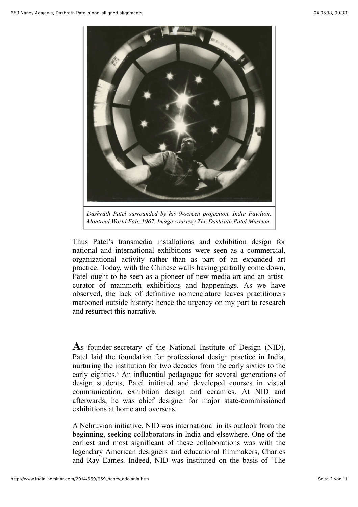

*Dashrath Patel surrounded by his 9-screen projection, India Pavilion, Montreal World Fair, 1967. Image courtesy The Dashrath Patel Museum.*

Thus Patel's transmedia installations and exhibition design for national and international exhibitions were seen as a commercial, organizational activity rather than as part of an expanded art practice. Today, with the Chinese walls having partially come down, Patel ought to be seen as a pioneer of new media art and an artistcurator of mammoth exhibitions and happenings. As we have observed, the lack of definitive nomenclature leaves practitioners marooned outside history; hence the urgency on my part to research and resurrect this narrative.

**A**s founder-secretary of the National Institute of Design (NID), Patel laid the foundation for professional design practice in India, nurturing the institution for two decades from the early sixties to the early eighties.<sup>4</sup> An influential pedagogue for several generations of design students, Patel initiated and developed courses in visual communication, exhibition design and ceramics. At NID and afterwards, he was chief designer for major state-commissioned exhibitions at home and overseas.

A Nehruvian initiative, NID was international in its outlook from the beginning, seeking collaborators in India and elsewhere. One of the earliest and most significant of these collaborations was with the legendary American designers and educational filmmakers, Charles and Ray Eames. Indeed, NID was instituted on the basis of 'The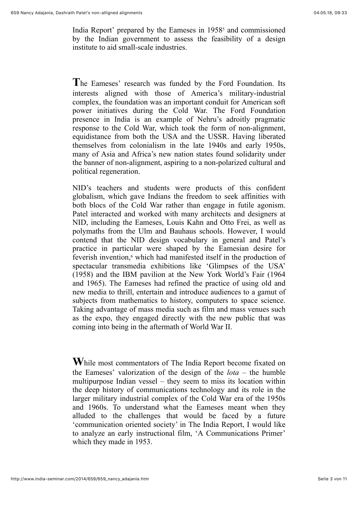India Report' prepared by the Eameses in 1958<sup>5</sup> and commissioned by the Indian government to assess the feasibility of a design institute to aid small-scale industries.

**T**he Eameses' research was funded by the Ford Foundation. Its interests aligned with those of America's military-industrial complex, the foundation was an important conduit for American soft power initiatives during the Cold War. The Ford Foundation presence in India is an example of Nehru's adroitly pragmatic response to the Cold War, which took the form of non-alignment, equidistance from both the USA and the USSR. Having liberated themselves from colonialism in the late 1940s and early 1950s, many of Asia and Africa's new nation states found solidarity under the banner of non-alignment, aspiring to a non-polarized cultural and political regeneration.

NID's teachers and students were products of this confident globalism, which gave Indians the freedom to seek affinities with both blocs of the Cold War rather than engage in futile agonism. Patel interacted and worked with many architects and designers at NID, including the Eameses, Louis Kahn and Otto Frei, as well as polymaths from the Ulm and Bauhaus schools. However, I would contend that the NID design vocabulary in general and Patel's practice in particular were shaped by the Eamesian desire for feverish invention,<sup>6</sup> which had manifested itself in the production of spectacular transmedia exhibitions like 'Glimpses of the USA' (1958) and the IBM pavilion at the New York World's Fair (1964 and 1965). The Eameses had refined the practice of using old and new media to thrill, entertain and introduce audiences to a gamut of subjects from mathematics to history, computers to space science. Taking advantage of mass media such as film and mass venues such as the expo, they engaged directly with the new public that was coming into being in the aftermath of World War II.

**W**hile most commentators of The India Report become fixated on the Eameses' valorization of the design of the *lota* – the humble multipurpose Indian vessel – they seem to miss its location within the deep history of communications technology and its role in the larger military industrial complex of the Cold War era of the 1950s and 1960s. To understand what the Eameses meant when they alluded to the challenges that would be faced by a future 'communication oriented society' in The India Report, I would like to analyze an early instructional film, 'A Communications Primer' which they made in 1953.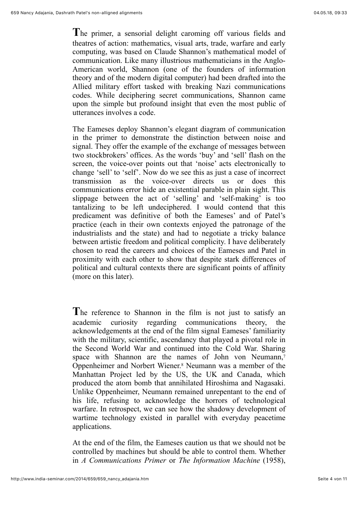**T**he primer, a sensorial delight caroming off various fields and theatres of action: mathematics, visual arts, trade, warfare and early computing, was based on Claude Shannon's mathematical model of communication. Like many illustrious mathematicians in the Anglo-American world, Shannon (one of the founders of information theory and of the modern digital computer) had been drafted into the Allied military effort tasked with breaking Nazi communications codes. While deciphering secret communications, Shannon came upon the simple but profound insight that even the most public of utterances involves a code.

The Eameses deploy Shannon's elegant diagram of communication in the primer to demonstrate the distinction between noise and signal. They offer the example of the exchange of messages between two stockbrokers' offices. As the words 'buy' and 'sell' flash on the screen, the voice-over points out that 'noise' acts electronically to change 'sell' to 'self'. Now do we see this as just a case of incorrect transmission as the voice-over directs us or does this communications error hide an existential parable in plain sight. This slippage between the act of 'selling' and 'self-making' is too tantalizing to be left undeciphered. I would contend that this predicament was definitive of both the Eameses' and of Patel's practice (each in their own contexts enjoyed the patronage of the industrialists and the state) and had to negotiate a tricky balance between artistic freedom and political complicity. I have deliberately chosen to read the careers and choices of the Eameses and Patel in proximity with each other to show that despite stark differences of political and cultural contexts there are significant points of affinity (more on this later).

**T**he reference to Shannon in the film is not just to satisfy an academic curiosity regarding communications theory, the acknowledgements at the end of the film signal Eameses' familiarity with the military, scientific, ascendancy that played a pivotal role in the Second World War and continued into the Cold War. Sharing space with Shannon are the names of John von Neumann,<sup>7</sup> Oppenheimer and Norbert Wiener.8 Neumann was a member of the Manhattan Project led by the US, the UK and Canada, which produced the atom bomb that annihilated Hiroshima and Nagasaki. Unlike Oppenheimer, Neumann remained unrepentant to the end of his life, refusing to acknowledge the horrors of technological warfare. In retrospect, we can see how the shadowy development of wartime technology existed in parallel with everyday peacetime applications.

At the end of the film, the Eameses caution us that we should not be controlled by machines but should be able to control them. Whether in *A Communications Primer* or *The Information Machine* (1958),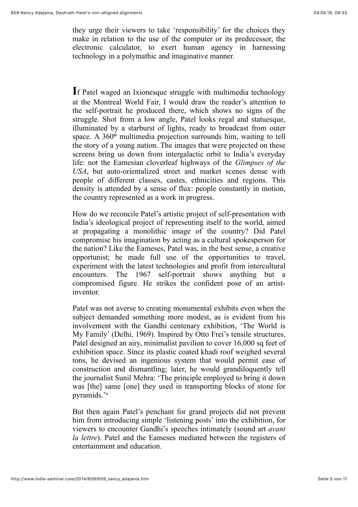they urge their viewers to take 'responsibility' for the choices they make in relation to the use of the computer or its predecessor, the electronic calculator, to exert human agency in harnessing technology in a polymathic and imaginative manner.

**I**f Patel waged an Ixionesque struggle with multimedia technology at the Montreal World Fair, I would draw the reader's attention to the self-portrait he produced there, which shows no signs of the struggle. Shot from a low angle, Patel looks regal and statuesque, illuminated by a starburst of lights, ready to broadcast from outer space. A 360**°** multimedia projection surrounds him, waiting to tell the story of a young nation. The images that were projected on these screens bring us down from intergalactic orbit to India's everyday life: not the Eamesian cloverleaf highways of the *Glimpses of the USA*, but auto-orientalized street and market scenes dense with people of different classes, castes, ethnicities and regions. This density is attended by a sense of flux: people constantly in motion, the country represented as a work in progress.

How do we reconcile Patel's artistic project of self-presentation with India's ideological project of representing itself to the world, aimed at propagating a monolithic image of the country? Did Patel compromise his imagination by acting as a cultural spokesperson for the nation? Like the Eameses, Patel was, in the best sense, a creative opportunist; he made full use of the opportunities to travel, experiment with the latest technologies and profit from intercultural encounters. The 1967 self-portrait shows anything but a compromised figure. He strikes the confident pose of an artistinventor.

Patel was not averse to creating monumental exhibits even when the subject demanded something more modest, as is evident from his involvement with the Gandhi centenary exhibition, 'The World is My Family' (Delhi, 1969). Inspired by Otto Frei's tensile structures, Patel designed an airy, minimalist pavilion to cover 16,000 sq feet of exhibition space. Since its plastic coated khadi roof weighed several tons, he devised an ingenious system that would permit ease of construction and dismantling; later, he would grandiloquently tell the journalist Sunil Mehra: 'The principle employed to bring it down was [the] same [one] they used in transporting blocks of stone for pyramids.'9

But then again Patel's penchant for grand projects did not prevent him from introducing simple 'listening posts' into the exhibition, for viewers to encounter Gandhi's speeches intimately (sound art *avant la lettre*). Patel and the Eameses mediated between the registers of entertainment and education.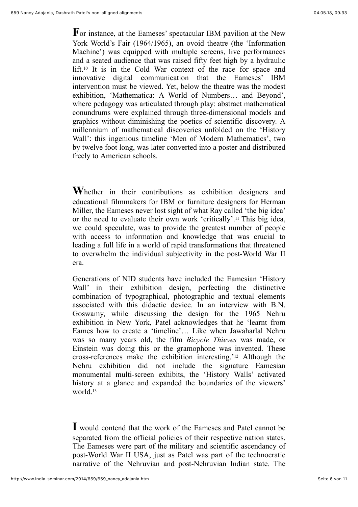**F**or instance, at the Eameses' spectacular IBM pavilion at the New York World's Fair (1964/1965), an ovoid theatre (the 'Information Machine') was equipped with multiple screens, live performances and a seated audience that was raised fifty feet high by a hydraulic lift.10 It is in the Cold War context of the race for space and innovative digital communication that the Eameses' IBM intervention must be viewed. Yet, below the theatre was the modest exhibition, 'Mathematica: A World of Numbers… and Beyond', where pedagogy was articulated through play: abstract mathematical conundrums were explained through three-dimensional models and graphics without diminishing the poetics of scientific discovery. A millennium of mathematical discoveries unfolded on the 'History Wall': this ingenious timeline 'Men of Modern Mathematics', two by twelve foot long, was later converted into a poster and distributed freely to American schools.

**W**hether in their contributions as exhibition designers and educational filmmakers for IBM or furniture designers for Herman Miller, the Eameses never lost sight of what Ray called 'the big idea' or the need to evaluate their own work 'critically'.11 This big idea, we could speculate, was to provide the greatest number of people with access to information and knowledge that was crucial to leading a full life in a world of rapid transformations that threatened to overwhelm the individual subjectivity in the post-World War II era.

Generations of NID students have included the Eamesian 'History Wall' in their exhibition design, perfecting the distinctive combination of typographical, photographic and textual elements associated with this didactic device. In an interview with B.N. Goswamy, while discussing the design for the 1965 Nehru exhibition in New York, Patel acknowledges that he 'learnt from Eames how to create a 'timeline'… Like when Jawaharlal Nehru was so many years old, the film *Bicycle Thieves* was made, or Einstein was doing this or the gramophone was invented. These cross-references make the exhibition interesting.'12 Although the Nehru exhibition did not include the signature Eamesian monumental multi-screen exhibits, the 'History Walls' activated history at a glance and expanded the boundaries of the viewers' world.13

**I** would contend that the work of the Eameses and Patel cannot be separated from the official policies of their respective nation states. The Eameses were part of the military and scientific ascendancy of post-World War II USA, just as Patel was part of the technocratic narrative of the Nehruvian and post-Nehruvian Indian state. The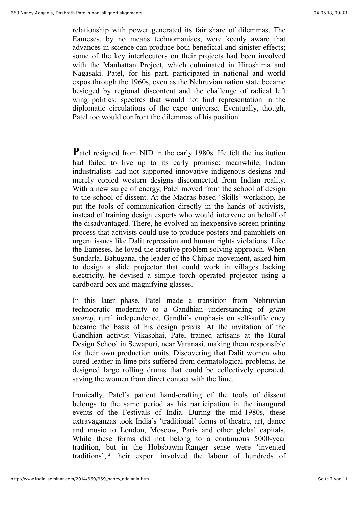relationship with power generated its fair share of dilemmas. The Eameses, by no means technomaniacs, were keenly aware that advances in science can produce both beneficial and sinister effects; some of the key interlocutors on their projects had been involved with the Manhattan Project, which culminated in Hiroshima and Nagasaki. Patel, for his part, participated in national and world expos through the 1960s, even as the Nehruvian nation state became besieged by regional discontent and the challenge of radical left wing politics: spectres that would not find representation in the diplomatic circulations of the expo universe. Eventually, though, Patel too would confront the dilemmas of his position.

**P**atel resigned from NID in the early 1980s. He felt the institution had failed to live up to its early promise; meanwhile, Indian industrialists had not supported innovative indigenous designs and merely copied western designs disconnected from Indian reality. With a new surge of energy, Patel moved from the school of design to the school of dissent. At the Madras based 'Skills' workshop, he put the tools of communication directly in the hands of activists, instead of training design experts who would intervene on behalf of the disadvantaged. There, he evolved an inexpensive screen printing process that activists could use to produce posters and pamphlets on urgent issues like Dalit repression and human rights violations. Like the Eameses, he loved the creative problem solving approach. When Sundarlal Bahugana, the leader of the Chipko movement, asked him to design a slide projector that could work in villages lacking electricity, he devised a simple torch operated projector using a cardboard box and magnifying glasses.

In this later phase, Patel made a transition from Nehruvian technocratic modernity to a Gandhian understanding of *gram swaraj*, rural independence. Gandhi's emphasis on self-sufficiency became the basis of his design praxis. At the invitation of the Gandhian activist Vikasbhai, Patel trained artisans at the Rural Design School in Sewapuri, near Varanasi, making them responsible for their own production units. Discovering that Dalit women who cured leather in lime pits suffered from dermatological problems, he designed large rolling drums that could be collectively operated, saving the women from direct contact with the lime.

Ironically, Patel's patient hand-crafting of the tools of dissent belongs to the same period as his participation in the inaugural events of the Festivals of India. During the mid-1980s, these extravaganzas took India's 'traditional' forms of theatre, art, dance and music to London, Moscow, Paris and other global capitals. While these forms did not belong to a continuous 5000-year tradition, but in the Hobsbawm-Ranger sense were 'invented traditions',14 their export involved the labour of hundreds of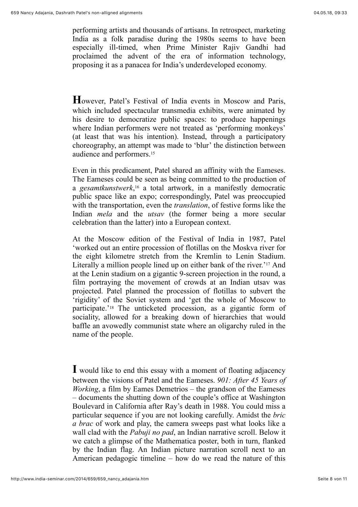performing artists and thousands of artisans. In retrospect, marketing India as a folk paradise during the 1980s seems to have been especially ill-timed, when Prime Minister Rajiv Gandhi had proclaimed the advent of the era of information technology, proposing it as a panacea for India's underdeveloped economy.

**H**owever, Patel's Festival of India events in Moscow and Paris, which included spectacular transmedia exhibits, were animated by his desire to democratize public spaces: to produce happenings where Indian performers were not treated as 'performing monkeys' (at least that was his intention). Instead, through a participatory choreography, an attempt was made to 'blur' the distinction between audience and performers.15

Even in this predicament, Patel shared an affinity with the Eameses. The Eameses could be seen as being committed to the production of a *gesamtkunstwerk*, <sup>16</sup> a total artwork, in a manifestly democratic public space like an expo; correspondingly, Patel was preoccupied with the transportation, even the *translation*, of festive forms like the Indian *mela* and the *utsav* (the former being a more secular celebration than the latter) into a European context.

At the Moscow edition of the Festival of India in 1987, Patel 'worked out an entire procession of flotillas on the Moskva river for the eight kilometre stretch from the Kremlin to Lenin Stadium. Literally a million people lined up on either bank of the river.'17 And at the Lenin stadium on a gigantic 9-screen projection in the round, a film portraying the movement of crowds at an Indian utsav was projected. Patel planned the procession of flotillas to subvert the 'rigidity' of the Soviet system and 'get the whole of Moscow to participate.'18 The unticketed procession, as a gigantic form of sociality, allowed for a breaking down of hierarchies that would baffle an avowedly communist state where an oligarchy ruled in the name of the people.

**I** would like to end this essay with a moment of floating adjacency between the visions of Patel and the Eameses. *901: After 45 Years of Working*, a film by Eames Demetrios – the grandson of the Eameses – documents the shutting down of the couple's office at Washington Boulevard in California after Ray's death in 1988. You could miss a particular sequence if you are not looking carefully. Amidst the *bric a brac* of work and play, the camera sweeps past what looks like a wall clad with the *Pabuji no pad*, an Indian narrative scroll. Below it we catch a glimpse of the Mathematica poster, both in turn, flanked by the Indian flag. An Indian picture narration scroll next to an American pedagogic timeline – how do we read the nature of this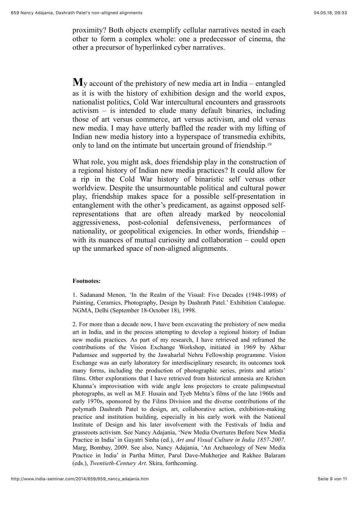proximity? Both objects exemplify cellular narratives nested in each other to form a complex whole: one a predecessor of cinema, the other a precursor of hyperlinked cyber narratives.

**M**y account of the prehistory of new media art in India – entangled as it is with the history of exhibition design and the world expos, nationalist politics, Cold War intercultural encounters and grassroots activism – is intended to elude many default binaries, including those of art versus commerce, art versus activism, and old versus new media. I may have utterly baffled the reader with my lifting of Indian new media history into a hyperspace of transmedia exhibits, only to land on the intimate but uncertain ground of friendship.19

What role, you might ask, does friendship play in the construction of a regional history of Indian new media practices? It could allow for a rip in the Cold War history of binaristic self versus other worldview. Despite the unsurmountable political and cultural power play, friendship makes space for a possible self-presentation in entanglement with the other's predicament, as against opposed selfrepresentations that are often already marked by neocolonial aggressiveness, post-colonial defensiveness, performances of nationality, or geopolitical exigencies. In other words, friendship – with its nuances of mutual curiosity and collaboration – could open up the unmarked space of non-aligned alignments.

## **Footnotes:**

1. Sadanand Menon, 'In the Realm of the Visual: Five Decades (1948-1998) of Painting, Ceramics, Photography, Design by Dashrath Patel.' Exhibition Catalogue. NGMA, Delhi (September 18-October 18), 1998.

2. For more than a decade now, I have been excavating the prehistory of new media art in India, and in the process attempting to develop a regional history of Indian new media practices. As part of my research, I have retrieved and reframed the contributions of the Vision Exchange Workshop, initiated in 1969 by Akbar Padamsee and supported by the Jawaharlal Nehru Fellowship programme. Vision Exchange was an early laboratory for interdisciplinary research; its outcomes took many forms, including the production of photographic series, prints and artists' films. Other explorations that I have retrieved from historical amnesia are Krishen Khanna's improvisation with wide angle lens projectors to create palimpsestual photographs, as well as M.F. Husain and Tyeb Mehta's films of the late 1960s and early 1970s, sponsored by the Films Division and the diverse contributions of the polymath Dashrath Patel to design, art, collaborative action, exhibition-making practice and institution building, especially in his early work with the National Institute of Design and his later involvement with the Festivals of India and grassroots activism. See Nancy Adajania, 'New Media Overtures Before New Media Practice in India' in Gayatri Sinha (ed.), *Art and Visual Culture in India 1857-2007*. Marg, Bombay, 2009. See also, Nancy Adajania, 'An Archaeology of New Media Practice in India' in Partha Mitter, Parul Dave-Mukherjee and Rakhee Balaram (eds.), *Twentieth-Century Art*. Skira, forthcoming.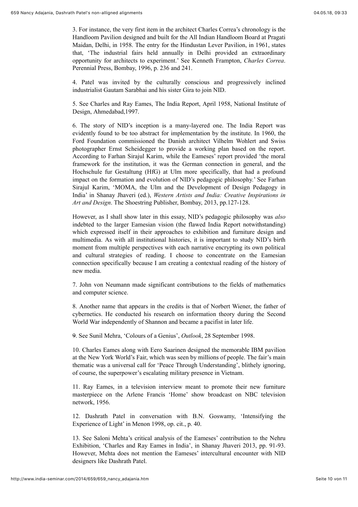3. For instance, the very first item in the architect Charles Correa's chronology is the Handloom Pavilion designed and built for the All Indian Handloom Board at Pragati Maidan, Delhi, in 1958. The entry for the Hindustan Lever Pavilion, in 1961, states that, 'The industrial fairs held annually in Delhi provided an extraordinary opportunity for architects to experiment.' See Kenneth Frampton, *Charles Correa*. Perennial Press, Bombay, 1996, p. 236 and 241.

4. Patel was invited by the culturally conscious and progressively inclined industrialist Gautam Sarabhai and his sister Gira to join NID.

5. See Charles and Ray Eames, The India Report, April 1958, National Institute of Design, Ahmedabad,1997.

6. The story of NID's inception is a many-layered one. The India Report was evidently found to be too abstract for implementation by the institute. In 1960, the Ford Foundation commissioned the Danish architect Vilhelm Wohlert and Swiss photographer Ernst Scheidegger to provide a working plan based on the report. According to Farhan Sirajul Karim, while the Eameses' report provided 'the moral framework for the institution, it was the German connection in general, and the Hochschule fur Gestaltung (HfG) at Ulm more specifically, that had a profound impact on the formation and evolution of NID's pedagogic philosophy.' See Farhan Sirajul Karim, 'MOMA, the Ulm and the Development of Design Pedagogy in India' in Shanay Jhaveri (ed.), *Western Artists and India: Creative Inspirations in Art and Design*. The Shoestring Publisher, Bombay, 2013, pp.127-128.

However, as I shall show later in this essay, NID's pedagogic philosophy was *also* indebted to the larger Eamesian vision (the flawed India Report notwithstanding) which expressed itself in their approaches to exhibition and furniture design and multimedia. As with all institutional histories, it is important to study NID's birth moment from multiple perspectives with each narrative encrypting its own political and cultural strategies of reading. I choose to concentrate on the Eamesian connection specifically because I am creating a contextual reading of the history of new media.

7. John von Neumann made significant contributions to the fields of mathematics and computer science.

8. Another name that appears in the credits is that of Norbert Wiener, the father of cybernetics. He conducted his research on information theory during the Second World War independently of Shannon and became a pacifist in later life.

9. See Sunil Mehra, 'Colours of a Genius', *Outlook*, 28 September 1998.

10. Charles Eames along with Eero Saarinen designed the memorable IBM pavilion at the New York World's Fair, which was seen by millions of people. The fair's main thematic was a universal call for 'Peace Through Understanding', blithely ignoring, of course, the superpower's escalating military presence in Vietnam.

11. Ray Eames, in a television interview meant to promote their new furniture masterpiece on the Arlene Francis 'Home' show broadcast on NBC television network, 1956.

12. Dashrath Patel in conversation with B.N. Goswamy, 'Intensifying the Experience of Light' in Menon 1998, op. cit., p. 40.

13. See Saloni Mehta's critical analysis of the Eameses' contribution to the Nehru Exhibition, 'Charles and Ray Eames in India', in Shanay Jhaveri 2013, pp. 91-93. However, Mehta does not mention the Eameses' intercultural encounter with NID designers like Dashrath Patel.